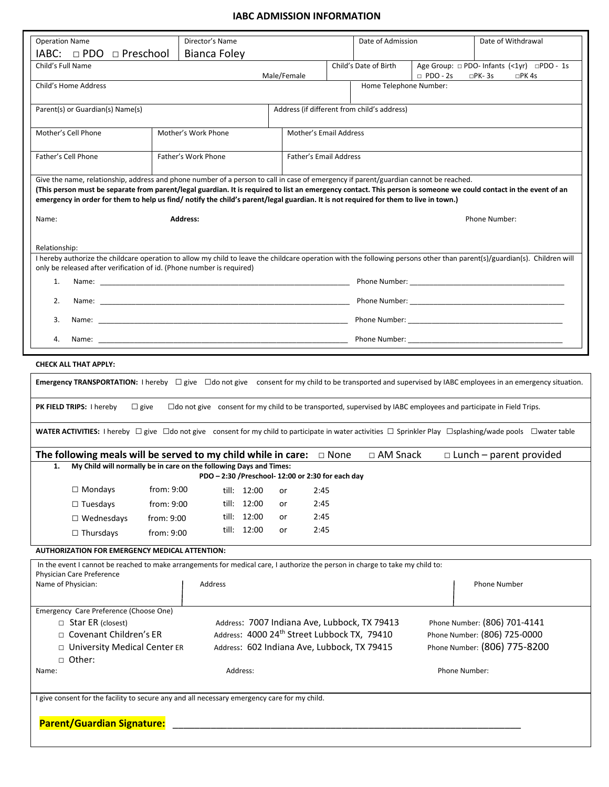### **IABC ADMISSION INFORMATION**

| Director's Name<br><b>Operation Name</b>                                                                                                                                                                                                                                                                                                                                                                                                         |                     |                                                   |  |                                                                                            | Date of Admission                           |                                                                                                                                                                                                                                |  | Date of Withdrawal                                                                                                                                                                                                             |  |
|--------------------------------------------------------------------------------------------------------------------------------------------------------------------------------------------------------------------------------------------------------------------------------------------------------------------------------------------------------------------------------------------------------------------------------------------------|---------------------|---------------------------------------------------|--|--------------------------------------------------------------------------------------------|---------------------------------------------|--------------------------------------------------------------------------------------------------------------------------------------------------------------------------------------------------------------------------------|--|--------------------------------------------------------------------------------------------------------------------------------------------------------------------------------------------------------------------------------|--|
| IABC:<br>$\Box$ PDO<br>□ Preschool<br><b>Bianca Foley</b>                                                                                                                                                                                                                                                                                                                                                                                        |                     |                                                   |  |                                                                                            |                                             |                                                                                                                                                                                                                                |  |                                                                                                                                                                                                                                |  |
| Child's Full Name                                                                                                                                                                                                                                                                                                                                                                                                                                |                     |                                                   |  | Male/Female                                                                                | Child's Date of Birth<br>$\Box$ PDO - 2s    |                                                                                                                                                                                                                                |  | Age Group: $\Box$ PDO- Infants (<1yr) $\Box$ PDO - 1s<br>$\square$ PK-3s<br>$\square$ PK 4s                                                                                                                                    |  |
| Child's Home Address                                                                                                                                                                                                                                                                                                                                                                                                                             |                     |                                                   |  |                                                                                            |                                             | Home Telephone Number:                                                                                                                                                                                                         |  |                                                                                                                                                                                                                                |  |
| Parent(s) or Guardian(s) Name(s)                                                                                                                                                                                                                                                                                                                                                                                                                 |                     |                                                   |  |                                                                                            | Address (if different from child's address) |                                                                                                                                                                                                                                |  |                                                                                                                                                                                                                                |  |
| Mother's Cell Phone<br>Mother's Work Phone                                                                                                                                                                                                                                                                                                                                                                                                       |                     |                                                   |  | Mother's Email Address                                                                     |                                             |                                                                                                                                                                                                                                |  |                                                                                                                                                                                                                                |  |
| Father's Cell Phone                                                                                                                                                                                                                                                                                                                                                                                                                              | Father's Work Phone |                                                   |  |                                                                                            | Father's Email Address                      |                                                                                                                                                                                                                                |  |                                                                                                                                                                                                                                |  |
| Give the name, relationship, address and phone number of a person to call in case of emergency if parent/guardian cannot be reached.<br>(This person must be separate from parent/legal guardian. It is required to list an emergency contact. This person is someone we could contact in the event of an<br>emergency in order for them to help us find/notify the child's parent/legal guardian. It is not required for them to live in town.) |                     |                                                   |  |                                                                                            |                                             |                                                                                                                                                                                                                                |  |                                                                                                                                                                                                                                |  |
| Name:                                                                                                                                                                                                                                                                                                                                                                                                                                            |                     | <b>Address:</b>                                   |  |                                                                                            |                                             |                                                                                                                                                                                                                                |  | Phone Number:                                                                                                                                                                                                                  |  |
| Relationship:                                                                                                                                                                                                                                                                                                                                                                                                                                    |                     |                                                   |  |                                                                                            |                                             |                                                                                                                                                                                                                                |  |                                                                                                                                                                                                                                |  |
| I hereby authorize the childcare operation to allow my child to leave the childcare operation with the following persons other than parent(s)/guardian(s). Children will<br>only be released after verification of id. (Phone number is required)                                                                                                                                                                                                |                     |                                                   |  |                                                                                            |                                             |                                                                                                                                                                                                                                |  |                                                                                                                                                                                                                                |  |
| 1.                                                                                                                                                                                                                                                                                                                                                                                                                                               |                     |                                                   |  |                                                                                            |                                             |                                                                                                                                                                                                                                |  | Phone Number: National Phone Number:                                                                                                                                                                                           |  |
| 2.<br>Name: with a state of the state of the state of the state of the state of the state of the state of the state of the state of the state of the state of the state of the state of the state of the state of the state of the s                                                                                                                                                                                                             |                     |                                                   |  |                                                                                            |                                             |                                                                                                                                                                                                                                |  |                                                                                                                                                                                                                                |  |
| 3.                                                                                                                                                                                                                                                                                                                                                                                                                                               |                     |                                                   |  |                                                                                            |                                             | Phone Number: National Accounts and Accounts and Accounts and Accounts and Accounts and Accounts and Accounts and Accounts and Accounts and Accounts and Accounts and Accounts and Accounts and Accounts and Accounts and Acco |  |                                                                                                                                                                                                                                |  |
| 4.                                                                                                                                                                                                                                                                                                                                                                                                                                               |                     |                                                   |  |                                                                                            |                                             |                                                                                                                                                                                                                                |  | Phone Number: National Accounts and Accounts and Accounts and Accounts and Accounts are also accounts and Accounts are also accounts and Accounts are also accounts and Accounts are also accounts and Accounts are also accou |  |
|                                                                                                                                                                                                                                                                                                                                                                                                                                                  |                     |                                                   |  |                                                                                            |                                             |                                                                                                                                                                                                                                |  |                                                                                                                                                                                                                                |  |
| <b>CHECK ALL THAT APPLY:</b>                                                                                                                                                                                                                                                                                                                                                                                                                     |                     |                                                   |  |                                                                                            |                                             |                                                                                                                                                                                                                                |  |                                                                                                                                                                                                                                |  |
|                                                                                                                                                                                                                                                                                                                                                                                                                                                  |                     |                                                   |  |                                                                                            |                                             |                                                                                                                                                                                                                                |  | <b>Emergency TRANSPORTATION:</b> I hereby $\Box$ give $\Box$ do not give consent for my child to be transported and supervised by IABC employees in an emergency situation.                                                    |  |
| <b>PK FIELD TRIPS: I hereby</b><br>$\Box$ give                                                                                                                                                                                                                                                                                                                                                                                                   |                     |                                                   |  |                                                                                            |                                             |                                                                                                                                                                                                                                |  | $\Box$ do not give consent for my child to be transported, supervised by IABC employees and participate in Field Trips.                                                                                                        |  |
|                                                                                                                                                                                                                                                                                                                                                                                                                                                  |                     |                                                   |  |                                                                                            |                                             |                                                                                                                                                                                                                                |  | WATER ACTIVITIES: I hereby $\Box$ give $\Box$ do not give consent for my child to participate in water activities $\Box$ Sprinkler Play $\Box$ splashing/wade pools $\Box$ water table                                         |  |
| The following meals will be served to my child while in care: $\Box$ None                                                                                                                                                                                                                                                                                                                                                                        |                     |                                                   |  |                                                                                            |                                             | □ AM Snack                                                                                                                                                                                                                     |  | $\Box$ Lunch – parent provided                                                                                                                                                                                                 |  |
| 1. My Child will normally be in care on the following Days and Times:                                                                                                                                                                                                                                                                                                                                                                            |                     | PDO - 2:30 /Preschool- 12:00 or 2:30 for each day |  |                                                                                            |                                             |                                                                                                                                                                                                                                |  |                                                                                                                                                                                                                                |  |
| $\Box$ Mondays                                                                                                                                                                                                                                                                                                                                                                                                                                   | from: 9:00          | till: 12:00                                       |  | or                                                                                         | 2:45                                        |                                                                                                                                                                                                                                |  |                                                                                                                                                                                                                                |  |
| $\Box$ Tuesdays                                                                                                                                                                                                                                                                                                                                                                                                                                  | from: 9:00          | till: 12:00                                       |  | or                                                                                         | 2:45                                        |                                                                                                                                                                                                                                |  |                                                                                                                                                                                                                                |  |
| $\Box$ Wednesdays                                                                                                                                                                                                                                                                                                                                                                                                                                | from: 9:00          | till: 12:00                                       |  | or                                                                                         | 2:45                                        |                                                                                                                                                                                                                                |  |                                                                                                                                                                                                                                |  |
| $\Box$ Thursdays                                                                                                                                                                                                                                                                                                                                                                                                                                 | from: 9:00          | till: 12:00                                       |  | or                                                                                         | 2:45                                        |                                                                                                                                                                                                                                |  |                                                                                                                                                                                                                                |  |
| <b>AUTHORIZATION FOR EMERGENCY MEDICAL ATTENTION:</b>                                                                                                                                                                                                                                                                                                                                                                                            |                     |                                                   |  |                                                                                            |                                             |                                                                                                                                                                                                                                |  |                                                                                                                                                                                                                                |  |
| In the event I cannot be reached to make arrangements for medical care, I authorize the person in charge to take my child to:                                                                                                                                                                                                                                                                                                                    |                     |                                                   |  |                                                                                            |                                             |                                                                                                                                                                                                                                |  |                                                                                                                                                                                                                                |  |
| Physician Care Preference<br>Name of Physician:                                                                                                                                                                                                                                                                                                                                                                                                  |                     | Address                                           |  |                                                                                            |                                             |                                                                                                                                                                                                                                |  | Phone Number                                                                                                                                                                                                                   |  |
| Emergency Care Preference (Choose One)                                                                                                                                                                                                                                                                                                                                                                                                           |                     |                                                   |  |                                                                                            |                                             |                                                                                                                                                                                                                                |  |                                                                                                                                                                                                                                |  |
| □ Star ER (closest)                                                                                                                                                                                                                                                                                                                                                                                                                              |                     |                                                   |  |                                                                                            |                                             | Address: 7007 Indiana Ave, Lubbock, TX 79413                                                                                                                                                                                   |  | Phone Number: (806) 701-4141                                                                                                                                                                                                   |  |
| $\Box$ Covenant Children's ER<br>□ University Medical Center ER                                                                                                                                                                                                                                                                                                                                                                                  |                     |                                                   |  | Address: 4000 24th Street Lubbock TX, 79410<br>Address: 602 Indiana Ave, Lubbock, TX 79415 |                                             |                                                                                                                                                                                                                                |  | Phone Number: (806) 725-0000<br>Phone Number: (806) 775-8200                                                                                                                                                                   |  |
| □ Other:<br>Address:<br>Name:                                                                                                                                                                                                                                                                                                                                                                                                                    |                     |                                                   |  |                                                                                            | Phone Number:                               |                                                                                                                                                                                                                                |  |                                                                                                                                                                                                                                |  |
|                                                                                                                                                                                                                                                                                                                                                                                                                                                  |                     |                                                   |  |                                                                                            |                                             |                                                                                                                                                                                                                                |  |                                                                                                                                                                                                                                |  |
| I give consent for the facility to secure any and all necessary emergency care for my child.                                                                                                                                                                                                                                                                                                                                                     |                     |                                                   |  |                                                                                            |                                             |                                                                                                                                                                                                                                |  |                                                                                                                                                                                                                                |  |
|                                                                                                                                                                                                                                                                                                                                                                                                                                                  |                     |                                                   |  |                                                                                            |                                             |                                                                                                                                                                                                                                |  |                                                                                                                                                                                                                                |  |
| <b>Parent/Guardian Signature:</b>                                                                                                                                                                                                                                                                                                                                                                                                                |                     |                                                   |  |                                                                                            |                                             |                                                                                                                                                                                                                                |  |                                                                                                                                                                                                                                |  |
|                                                                                                                                                                                                                                                                                                                                                                                                                                                  |                     |                                                   |  |                                                                                            |                                             |                                                                                                                                                                                                                                |  |                                                                                                                                                                                                                                |  |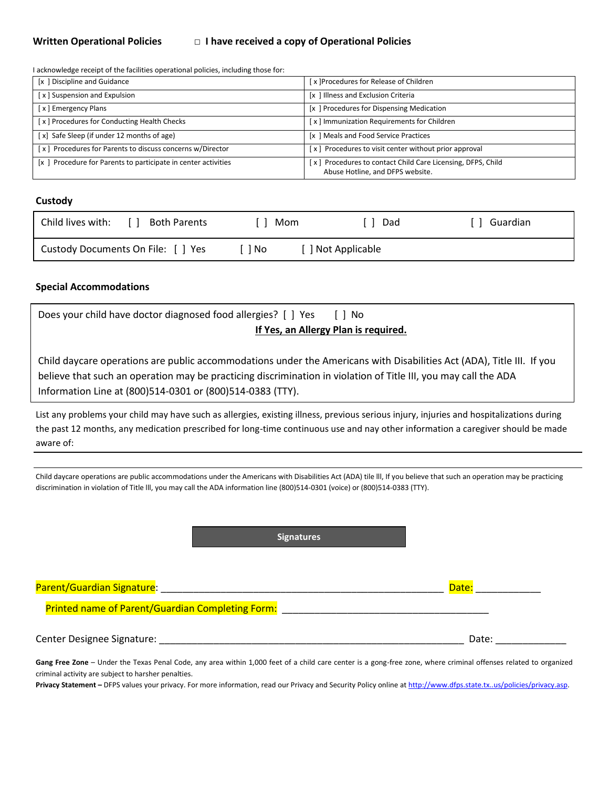# **Written Operational Policies** □ **I have received a copy of Operational Policies**

I acknowledge receipt of the facilities operational policies, including those for:

| [x] Discipline and Guidance                                    | x ]Procedures for Release of Children                                                           |
|----------------------------------------------------------------|-------------------------------------------------------------------------------------------------|
| [x] Suspension and Expulsion                                   | [x] Illness and Exclusion Criteria                                                              |
| [x] Emergency Plans                                            | [x] Procedures for Dispensing Medication                                                        |
| [x] Procedures for Conducting Health Checks                    | [x] Immunization Requirements for Children                                                      |
| [x] Safe Sleep (if under 12 months of age)                     | [x ] Meals and Food Service Practices                                                           |
| [x] Procedures for Parents to discuss concerns w/Director      | [x] Procedures to visit center without prior approval                                           |
| [x ] Procedure for Parents to participate in center activities | [x] Procedures to contact Child Care Licensing, DFPS, Child<br>Abuse Hotline, and DFPS website. |

# **Custody**

| Child lives with:<br>Both Parents  | Mom | Dad              | 「 ] Guardian |
|------------------------------------|-----|------------------|--------------|
| Custody Documents On File: [ ] Yes | No. | ] Not Applicable |              |

## **Special Accommodations**

| Does your child have doctor diagnosed food allergies? [ ] Yes<br>$\lceil \, \rceil$ No<br>If Yes, an Allergy Plan is required.<br>Child daycare operations are public accommodations under the Americans with Disabilities Act (ADA), Title III. If you<br>believe that such an operation may be practicing discrimination in violation of Title III, you may call the ADA<br>Information Line at (800)514-0301 or (800)514-0383 (TTY).<br>List any problems your child may have such as allergies, existing illness, previous serious injury, injuries and hospitalizations during<br>the past 12 months, any medication prescribed for long-time continuous use and nay other information a caregiver should be made<br>aware of:<br>Child daycare operations are public accommodations under the Americans with Disabilities Act (ADA) tile III, If you believe that such an operation may be practicing<br>discrimination in violation of Title III, you may call the ADA information line (800)514-0301 (voice) or (800)514-0383 (TTY).<br><b>Signatures</b><br>Date:<br><b>Printed name of Parent/Guardian Completing Form:</b><br>Center Designee Signature: Lawrence and Contract and Contract and Contract and Contract and Contract and Contract and Contract and Contract and Contract and Contract and Contract and Contract and Contract and Contract and<br>Date:<br>Gang Free Zone - Under the Texas Penal Code, any area within 1,000 feet of a child care center is a gong-free zone, where criminal offenses related to organized |                                                     |  |
|-----------------------------------------------------------------------------------------------------------------------------------------------------------------------------------------------------------------------------------------------------------------------------------------------------------------------------------------------------------------------------------------------------------------------------------------------------------------------------------------------------------------------------------------------------------------------------------------------------------------------------------------------------------------------------------------------------------------------------------------------------------------------------------------------------------------------------------------------------------------------------------------------------------------------------------------------------------------------------------------------------------------------------------------------------------------------------------------------------------------------------------------------------------------------------------------------------------------------------------------------------------------------------------------------------------------------------------------------------------------------------------------------------------------------------------------------------------------------------------------------------------------------------------------------------|-----------------------------------------------------|--|
|                                                                                                                                                                                                                                                                                                                                                                                                                                                                                                                                                                                                                                                                                                                                                                                                                                                                                                                                                                                                                                                                                                                                                                                                                                                                                                                                                                                                                                                                                                                                                     |                                                     |  |
|                                                                                                                                                                                                                                                                                                                                                                                                                                                                                                                                                                                                                                                                                                                                                                                                                                                                                                                                                                                                                                                                                                                                                                                                                                                                                                                                                                                                                                                                                                                                                     |                                                     |  |
|                                                                                                                                                                                                                                                                                                                                                                                                                                                                                                                                                                                                                                                                                                                                                                                                                                                                                                                                                                                                                                                                                                                                                                                                                                                                                                                                                                                                                                                                                                                                                     |                                                     |  |
|                                                                                                                                                                                                                                                                                                                                                                                                                                                                                                                                                                                                                                                                                                                                                                                                                                                                                                                                                                                                                                                                                                                                                                                                                                                                                                                                                                                                                                                                                                                                                     |                                                     |  |
|                                                                                                                                                                                                                                                                                                                                                                                                                                                                                                                                                                                                                                                                                                                                                                                                                                                                                                                                                                                                                                                                                                                                                                                                                                                                                                                                                                                                                                                                                                                                                     |                                                     |  |
|                                                                                                                                                                                                                                                                                                                                                                                                                                                                                                                                                                                                                                                                                                                                                                                                                                                                                                                                                                                                                                                                                                                                                                                                                                                                                                                                                                                                                                                                                                                                                     |                                                     |  |
|                                                                                                                                                                                                                                                                                                                                                                                                                                                                                                                                                                                                                                                                                                                                                                                                                                                                                                                                                                                                                                                                                                                                                                                                                                                                                                                                                                                                                                                                                                                                                     |                                                     |  |
|                                                                                                                                                                                                                                                                                                                                                                                                                                                                                                                                                                                                                                                                                                                                                                                                                                                                                                                                                                                                                                                                                                                                                                                                                                                                                                                                                                                                                                                                                                                                                     |                                                     |  |
|                                                                                                                                                                                                                                                                                                                                                                                                                                                                                                                                                                                                                                                                                                                                                                                                                                                                                                                                                                                                                                                                                                                                                                                                                                                                                                                                                                                                                                                                                                                                                     |                                                     |  |
|                                                                                                                                                                                                                                                                                                                                                                                                                                                                                                                                                                                                                                                                                                                                                                                                                                                                                                                                                                                                                                                                                                                                                                                                                                                                                                                                                                                                                                                                                                                                                     |                                                     |  |
|                                                                                                                                                                                                                                                                                                                                                                                                                                                                                                                                                                                                                                                                                                                                                                                                                                                                                                                                                                                                                                                                                                                                                                                                                                                                                                                                                                                                                                                                                                                                                     |                                                     |  |
|                                                                                                                                                                                                                                                                                                                                                                                                                                                                                                                                                                                                                                                                                                                                                                                                                                                                                                                                                                                                                                                                                                                                                                                                                                                                                                                                                                                                                                                                                                                                                     |                                                     |  |
|                                                                                                                                                                                                                                                                                                                                                                                                                                                                                                                                                                                                                                                                                                                                                                                                                                                                                                                                                                                                                                                                                                                                                                                                                                                                                                                                                                                                                                                                                                                                                     |                                                     |  |
|                                                                                                                                                                                                                                                                                                                                                                                                                                                                                                                                                                                                                                                                                                                                                                                                                                                                                                                                                                                                                                                                                                                                                                                                                                                                                                                                                                                                                                                                                                                                                     |                                                     |  |
|                                                                                                                                                                                                                                                                                                                                                                                                                                                                                                                                                                                                                                                                                                                                                                                                                                                                                                                                                                                                                                                                                                                                                                                                                                                                                                                                                                                                                                                                                                                                                     |                                                     |  |
|                                                                                                                                                                                                                                                                                                                                                                                                                                                                                                                                                                                                                                                                                                                                                                                                                                                                                                                                                                                                                                                                                                                                                                                                                                                                                                                                                                                                                                                                                                                                                     |                                                     |  |
|                                                                                                                                                                                                                                                                                                                                                                                                                                                                                                                                                                                                                                                                                                                                                                                                                                                                                                                                                                                                                                                                                                                                                                                                                                                                                                                                                                                                                                                                                                                                                     |                                                     |  |
|                                                                                                                                                                                                                                                                                                                                                                                                                                                                                                                                                                                                                                                                                                                                                                                                                                                                                                                                                                                                                                                                                                                                                                                                                                                                                                                                                                                                                                                                                                                                                     |                                                     |  |
|                                                                                                                                                                                                                                                                                                                                                                                                                                                                                                                                                                                                                                                                                                                                                                                                                                                                                                                                                                                                                                                                                                                                                                                                                                                                                                                                                                                                                                                                                                                                                     |                                                     |  |
|                                                                                                                                                                                                                                                                                                                                                                                                                                                                                                                                                                                                                                                                                                                                                                                                                                                                                                                                                                                                                                                                                                                                                                                                                                                                                                                                                                                                                                                                                                                                                     |                                                     |  |
|                                                                                                                                                                                                                                                                                                                                                                                                                                                                                                                                                                                                                                                                                                                                                                                                                                                                                                                                                                                                                                                                                                                                                                                                                                                                                                                                                                                                                                                                                                                                                     |                                                     |  |
|                                                                                                                                                                                                                                                                                                                                                                                                                                                                                                                                                                                                                                                                                                                                                                                                                                                                                                                                                                                                                                                                                                                                                                                                                                                                                                                                                                                                                                                                                                                                                     |                                                     |  |
|                                                                                                                                                                                                                                                                                                                                                                                                                                                                                                                                                                                                                                                                                                                                                                                                                                                                                                                                                                                                                                                                                                                                                                                                                                                                                                                                                                                                                                                                                                                                                     |                                                     |  |
|                                                                                                                                                                                                                                                                                                                                                                                                                                                                                                                                                                                                                                                                                                                                                                                                                                                                                                                                                                                                                                                                                                                                                                                                                                                                                                                                                                                                                                                                                                                                                     |                                                     |  |
|                                                                                                                                                                                                                                                                                                                                                                                                                                                                                                                                                                                                                                                                                                                                                                                                                                                                                                                                                                                                                                                                                                                                                                                                                                                                                                                                                                                                                                                                                                                                                     |                                                     |  |
|                                                                                                                                                                                                                                                                                                                                                                                                                                                                                                                                                                                                                                                                                                                                                                                                                                                                                                                                                                                                                                                                                                                                                                                                                                                                                                                                                                                                                                                                                                                                                     |                                                     |  |
|                                                                                                                                                                                                                                                                                                                                                                                                                                                                                                                                                                                                                                                                                                                                                                                                                                                                                                                                                                                                                                                                                                                                                                                                                                                                                                                                                                                                                                                                                                                                                     |                                                     |  |
|                                                                                                                                                                                                                                                                                                                                                                                                                                                                                                                                                                                                                                                                                                                                                                                                                                                                                                                                                                                                                                                                                                                                                                                                                                                                                                                                                                                                                                                                                                                                                     | criminal activity are subject to harsher penalties. |  |

Privacy Statement – DFPS values your privacy. For more information, read our Privacy and Security Policy online at http://www.dfps.state.tx..us/policies/privacy.asp.